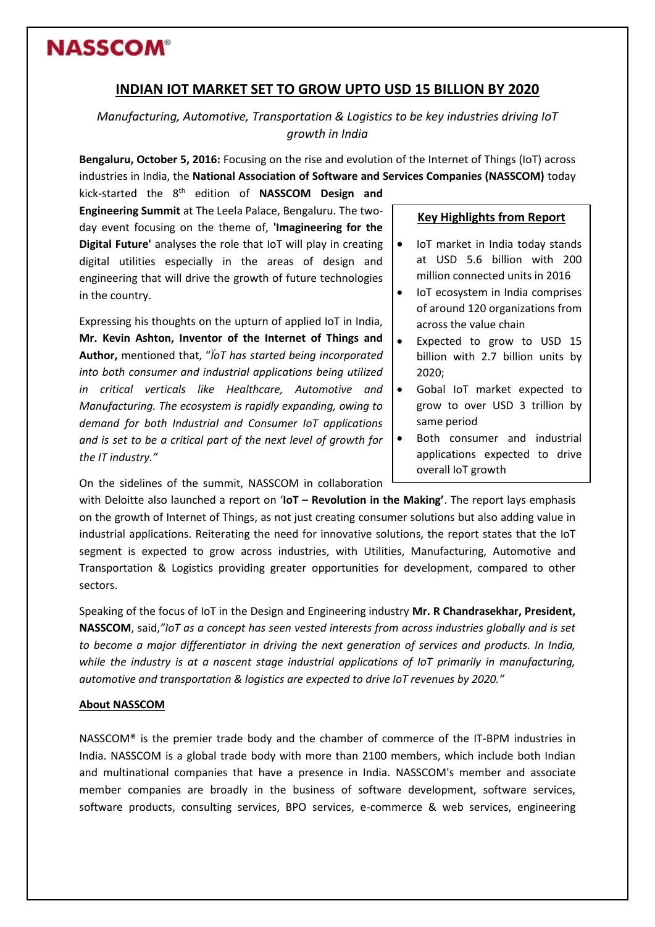## **NASSCOM®**

## **INDIAN IOT MARKET SET TO GROW UPTO USD 15 BILLION BY 2020**

*Manufacturing, Automotive, Transportation & Logistics to be key industries driving IoT growth in India*

**Bengaluru, October 5, 2016:** Focusing on the rise and evolution of the Internet of Things (IoT) across industries in India, the **National Association of Software and Services Companies (NASSCOM)** today

kick-started the 8th edition of **NASSCOM Design and Engineering Summit** at The Leela Palace, Bengaluru. The twoday event focusing on the theme of, **'Imagineering for the Digital Future'** analyses the role that IoT will play in creating digital utilities especially in the areas of design and engineering that will drive the growth of future technologies in the country.

Expressing his thoughts on the upturn of applied IoT in India, **Mr. Kevin Ashton, Inventor of the Internet of Things and Author,** mentioned that, "*ÏoT has started being incorporated into both consumer and industrial applications being utilized in critical verticals like Healthcare, Automotive and Manufacturing. The ecosystem is rapidly expanding, owing to demand for both Industrial and Consumer IoT applications and is set to be a critical part of the next level of growth for the IT industry."*

#### **Key Highlights from Report**

- IoT market in India today stands at USD 5.6 billion with 200 million connected units in 2016
- IoT ecosystem in India comprises of around 120 organizations from across the value chain
- Expected to grow to USD 15 billion with 2.7 billion units by 2020;
- Gobal IoT market expected to grow to over USD 3 trillion by same period
- Both consumer and industrial applications expected to drive overall IoT growth

On the sidelines of the summit, NASSCOM in collaboration

with Deloitte also launched a report on '**IoT – Revolution in the Making'**. The report lays emphasis on the growth of Internet of Things, as not just creating consumer solutions but also adding value in industrial applications. Reiterating the need for innovative solutions, the report states that the IoT segment is expected to grow across industries, with Utilities, Manufacturing, Automotive and Transportation & Logistics providing greater opportunities for development, compared to other sectors.

Speaking of the focus of IoT in the Design and Engineering industry **Mr. R Chandrasekhar, President, NASSCOM**, said,*"IoT as a concept has seen vested interests from across industries globally and is set to become a major differentiator in driving the next generation of services and products. In India, while the industry is at a nascent stage industrial applications of IoT primarily in manufacturing, automotive and transportation & logistics are expected to drive IoT revenues by 2020."*

#### **About NASSCOM**

NASSCOM® is the premier trade body and the chamber of commerce of the IT-BPM industries in India. NASSCOM is a global trade body with more than 2100 members, which include both Indian and multinational companies that have a presence in India. NASSCOM's member and associate member companies are broadly in the business of software development, software services, software products, consulting services, BPO services, e-commerce & web services, engineering